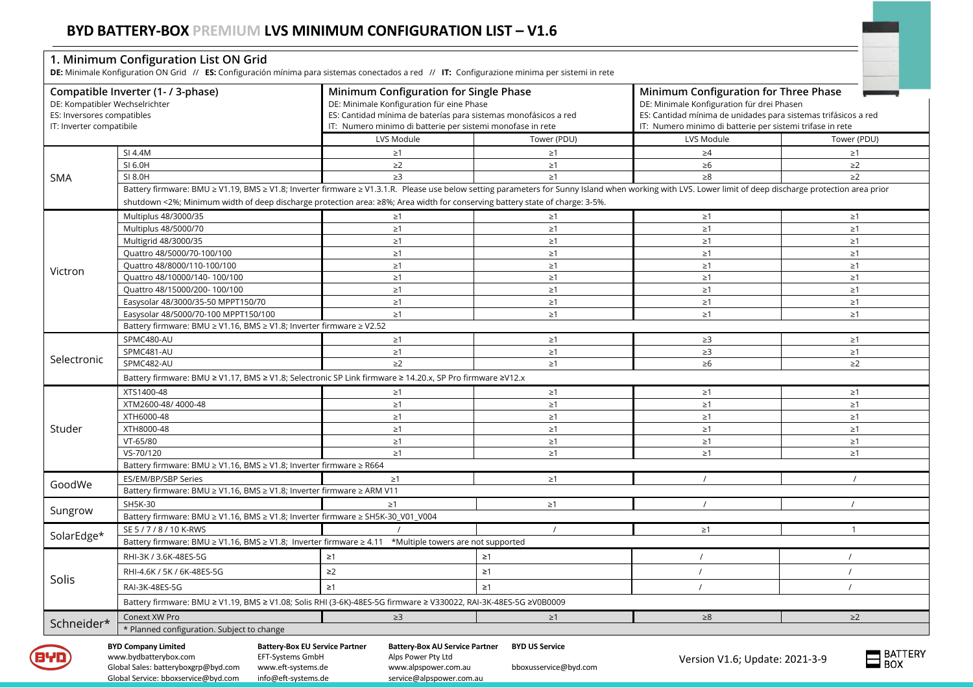## **BYD BATTERY-BOX PREMIUM LVS MINIMUM CONFIGURATION LIST - V1.6**

| IT: Inverter compatibile<br>SI 4.4M<br>SI 6.0H<br>SI 8.0H<br>Multiplus 48/3000/35<br>Multiplus 48/5000/70<br>Multigrid 48/3000/35<br>Quattro 48/5000/70-100/100<br>Quattro 48/8000/110-100/100<br>Quattro 48/10000/140-100/100<br>Quattro 48/15000/200-100/100<br>Easysolar 48/3000/35-50 MPPT150/70<br>Easysolar 48/5000/70-100 MPPT150/100<br>Battery firmware: BMU ≥ V1.16, BMS ≥ V1.8; Inverter firmware ≥ V2.52<br>SPMC480-AU<br>SPMC481-AU<br>SPMC482-AU<br>XTS1400-48 | IT: Numero minimo di batterie per sistemi monofase in rete<br>LVS Module<br>$\geq 1$<br>$\geq$ 2<br>$\geq$ 3<br>shutdown <2%; Minimum width of deep discharge protection area: ≥8%; Area width for conserving battery state of charge: 3-5%.<br>$\geq$ 1<br>$\geq 1$<br>$\geq 1$<br>$\geq$ 1<br>$\geq$ 1<br>$\geq 1$<br>$\geq 1$<br>$\geq$ 1<br>$\geq 1$<br>$\geq$ 1<br>$\geq$ 1<br>$\geq$ 2 | Tower (PDU)<br>$\geq$ 1<br>$\geq$ 1<br>$\geq$ 1<br>$\geq$ 1<br>$\geq$ 1<br>$\geq$ 1<br>$\geq$ 1<br>$\geq$ 1<br>$\geq$ 1<br>$\geq$ 1<br>$\geq$ 1<br>$\geq$ 1<br>$\geq$ 1<br>$\geq$ 1<br>$\geq$ 1                                                                      | IT: Numero minimo di batterie per sistemi trifase in rete<br>LVS Module<br>$\geq 4$<br>$\geq 6$<br>$\geq 8$<br>Battery firmware: BMU ≥ V1.19, BMS ≥ V1.8; Inverter firmware ≥ V1.3.1.R. Please use below setting parameters for Sunny Island when working with LVS. Lower limit of deep discharge protection area prior<br>$\geq$ 1<br>$\geq$ 1<br>$\geq$ 1<br>$\geq$ 1<br>$\geq$ 1<br>$\geq$ 1<br>$\geq$ 1<br>$\geq$ 1<br>$\geq$ 1<br>$\geq$ 3<br>$\geq$ 3<br>$\geq 6$ | Tower (PDU)<br>$\geq$ 1<br>$\geq$ 2<br>$\geq$ 2<br>$\geq$ 1<br>$\geq$ 1<br>$\geq$ 1<br>$\geq$ 1<br>$\geq$ 1<br>$\geq$ 1<br>$\geq$ 1<br>$\geq$ 1<br>$\geq$ 1<br>$\geq$ 1<br>$\geq$ 1<br>$\geq$ 2 |  |  |  |
|------------------------------------------------------------------------------------------------------------------------------------------------------------------------------------------------------------------------------------------------------------------------------------------------------------------------------------------------------------------------------------------------------------------------------------------------------------------------------|----------------------------------------------------------------------------------------------------------------------------------------------------------------------------------------------------------------------------------------------------------------------------------------------------------------------------------------------------------------------------------------------|----------------------------------------------------------------------------------------------------------------------------------------------------------------------------------------------------------------------------------------------------------------------|-------------------------------------------------------------------------------------------------------------------------------------------------------------------------------------------------------------------------------------------------------------------------------------------------------------------------------------------------------------------------------------------------------------------------------------------------------------------------|-------------------------------------------------------------------------------------------------------------------------------------------------------------------------------------------------|--|--|--|
|                                                                                                                                                                                                                                                                                                                                                                                                                                                                              |                                                                                                                                                                                                                                                                                                                                                                                              |                                                                                                                                                                                                                                                                      |                                                                                                                                                                                                                                                                                                                                                                                                                                                                         |                                                                                                                                                                                                 |  |  |  |
|                                                                                                                                                                                                                                                                                                                                                                                                                                                                              |                                                                                                                                                                                                                                                                                                                                                                                              |                                                                                                                                                                                                                                                                      |                                                                                                                                                                                                                                                                                                                                                                                                                                                                         |                                                                                                                                                                                                 |  |  |  |
|                                                                                                                                                                                                                                                                                                                                                                                                                                                                              |                                                                                                                                                                                                                                                                                                                                                                                              |                                                                                                                                                                                                                                                                      |                                                                                                                                                                                                                                                                                                                                                                                                                                                                         |                                                                                                                                                                                                 |  |  |  |
|                                                                                                                                                                                                                                                                                                                                                                                                                                                                              |                                                                                                                                                                                                                                                                                                                                                                                              |                                                                                                                                                                                                                                                                      |                                                                                                                                                                                                                                                                                                                                                                                                                                                                         |                                                                                                                                                                                                 |  |  |  |
|                                                                                                                                                                                                                                                                                                                                                                                                                                                                              |                                                                                                                                                                                                                                                                                                                                                                                              |                                                                                                                                                                                                                                                                      |                                                                                                                                                                                                                                                                                                                                                                                                                                                                         |                                                                                                                                                                                                 |  |  |  |
|                                                                                                                                                                                                                                                                                                                                                                                                                                                                              |                                                                                                                                                                                                                                                                                                                                                                                              |                                                                                                                                                                                                                                                                      |                                                                                                                                                                                                                                                                                                                                                                                                                                                                         |                                                                                                                                                                                                 |  |  |  |
|                                                                                                                                                                                                                                                                                                                                                                                                                                                                              |                                                                                                                                                                                                                                                                                                                                                                                              |                                                                                                                                                                                                                                                                      |                                                                                                                                                                                                                                                                                                                                                                                                                                                                         |                                                                                                                                                                                                 |  |  |  |
|                                                                                                                                                                                                                                                                                                                                                                                                                                                                              |                                                                                                                                                                                                                                                                                                                                                                                              |                                                                                                                                                                                                                                                                      |                                                                                                                                                                                                                                                                                                                                                                                                                                                                         |                                                                                                                                                                                                 |  |  |  |
|                                                                                                                                                                                                                                                                                                                                                                                                                                                                              |                                                                                                                                                                                                                                                                                                                                                                                              |                                                                                                                                                                                                                                                                      |                                                                                                                                                                                                                                                                                                                                                                                                                                                                         |                                                                                                                                                                                                 |  |  |  |
|                                                                                                                                                                                                                                                                                                                                                                                                                                                                              |                                                                                                                                                                                                                                                                                                                                                                                              |                                                                                                                                                                                                                                                                      |                                                                                                                                                                                                                                                                                                                                                                                                                                                                         |                                                                                                                                                                                                 |  |  |  |
|                                                                                                                                                                                                                                                                                                                                                                                                                                                                              |                                                                                                                                                                                                                                                                                                                                                                                              |                                                                                                                                                                                                                                                                      |                                                                                                                                                                                                                                                                                                                                                                                                                                                                         |                                                                                                                                                                                                 |  |  |  |
|                                                                                                                                                                                                                                                                                                                                                                                                                                                                              |                                                                                                                                                                                                                                                                                                                                                                                              |                                                                                                                                                                                                                                                                      |                                                                                                                                                                                                                                                                                                                                                                                                                                                                         |                                                                                                                                                                                                 |  |  |  |
|                                                                                                                                                                                                                                                                                                                                                                                                                                                                              |                                                                                                                                                                                                                                                                                                                                                                                              |                                                                                                                                                                                                                                                                      |                                                                                                                                                                                                                                                                                                                                                                                                                                                                         |                                                                                                                                                                                                 |  |  |  |
|                                                                                                                                                                                                                                                                                                                                                                                                                                                                              |                                                                                                                                                                                                                                                                                                                                                                                              |                                                                                                                                                                                                                                                                      |                                                                                                                                                                                                                                                                                                                                                                                                                                                                         |                                                                                                                                                                                                 |  |  |  |
|                                                                                                                                                                                                                                                                                                                                                                                                                                                                              |                                                                                                                                                                                                                                                                                                                                                                                              |                                                                                                                                                                                                                                                                      |                                                                                                                                                                                                                                                                                                                                                                                                                                                                         |                                                                                                                                                                                                 |  |  |  |
|                                                                                                                                                                                                                                                                                                                                                                                                                                                                              |                                                                                                                                                                                                                                                                                                                                                                                              |                                                                                                                                                                                                                                                                      |                                                                                                                                                                                                                                                                                                                                                                                                                                                                         |                                                                                                                                                                                                 |  |  |  |
|                                                                                                                                                                                                                                                                                                                                                                                                                                                                              |                                                                                                                                                                                                                                                                                                                                                                                              |                                                                                                                                                                                                                                                                      |                                                                                                                                                                                                                                                                                                                                                                                                                                                                         |                                                                                                                                                                                                 |  |  |  |
|                                                                                                                                                                                                                                                                                                                                                                                                                                                                              |                                                                                                                                                                                                                                                                                                                                                                                              |                                                                                                                                                                                                                                                                      |                                                                                                                                                                                                                                                                                                                                                                                                                                                                         |                                                                                                                                                                                                 |  |  |  |
|                                                                                                                                                                                                                                                                                                                                                                                                                                                                              | Battery firmware: BMU ≥ V1.17, BMS ≥ V1.8; Selectronic SP Link firmware ≥ 14.20.x, SP Pro firmware ≥V12.x                                                                                                                                                                                                                                                                                    |                                                                                                                                                                                                                                                                      |                                                                                                                                                                                                                                                                                                                                                                                                                                                                         |                                                                                                                                                                                                 |  |  |  |
|                                                                                                                                                                                                                                                                                                                                                                                                                                                                              | $\geq$ 1                                                                                                                                                                                                                                                                                                                                                                                     | $\geq$ 1                                                                                                                                                                                                                                                             | $\geq$ 1                                                                                                                                                                                                                                                                                                                                                                                                                                                                | $\geq$ 1                                                                                                                                                                                        |  |  |  |
| XTM2600-48/4000-48                                                                                                                                                                                                                                                                                                                                                                                                                                                           | $\geq$ 1                                                                                                                                                                                                                                                                                                                                                                                     | $\geq$ 1                                                                                                                                                                                                                                                             | $\geq 1$                                                                                                                                                                                                                                                                                                                                                                                                                                                                | $\geq 1$                                                                                                                                                                                        |  |  |  |
| XTH6000-48                                                                                                                                                                                                                                                                                                                                                                                                                                                                   | $\geq$ 1                                                                                                                                                                                                                                                                                                                                                                                     | $\geq 1$                                                                                                                                                                                                                                                             | $\geq 1$                                                                                                                                                                                                                                                                                                                                                                                                                                                                | $\geq$ 1                                                                                                                                                                                        |  |  |  |
| XTH8000-48                                                                                                                                                                                                                                                                                                                                                                                                                                                                   | $\geq$ 1                                                                                                                                                                                                                                                                                                                                                                                     | $\geq$ 1                                                                                                                                                                                                                                                             | $\geq 1$                                                                                                                                                                                                                                                                                                                                                                                                                                                                | $\geq 1$                                                                                                                                                                                        |  |  |  |
| VT-65/80                                                                                                                                                                                                                                                                                                                                                                                                                                                                     | $\geq$ 1                                                                                                                                                                                                                                                                                                                                                                                     | $\geq$ 1                                                                                                                                                                                                                                                             | $\geq 1$                                                                                                                                                                                                                                                                                                                                                                                                                                                                | $\geq 1$                                                                                                                                                                                        |  |  |  |
| VS-70/120                                                                                                                                                                                                                                                                                                                                                                                                                                                                    | $\geq$ 1                                                                                                                                                                                                                                                                                                                                                                                     | $\geq$ 1                                                                                                                                                                                                                                                             | $\geq$ 1                                                                                                                                                                                                                                                                                                                                                                                                                                                                | $\geq$ 1                                                                                                                                                                                        |  |  |  |
| Battery firmware: BMU ≥ V1.16, BMS ≥ V1.8; Inverter firmware ≥ R664                                                                                                                                                                                                                                                                                                                                                                                                          |                                                                                                                                                                                                                                                                                                                                                                                              |                                                                                                                                                                                                                                                                      |                                                                                                                                                                                                                                                                                                                                                                                                                                                                         |                                                                                                                                                                                                 |  |  |  |
| ES/EM/BP/SBP Series                                                                                                                                                                                                                                                                                                                                                                                                                                                          | $\geq$ 1                                                                                                                                                                                                                                                                                                                                                                                     | $\geq$ 1                                                                                                                                                                                                                                                             |                                                                                                                                                                                                                                                                                                                                                                                                                                                                         |                                                                                                                                                                                                 |  |  |  |
|                                                                                                                                                                                                                                                                                                                                                                                                                                                                              |                                                                                                                                                                                                                                                                                                                                                                                              |                                                                                                                                                                                                                                                                      |                                                                                                                                                                                                                                                                                                                                                                                                                                                                         |                                                                                                                                                                                                 |  |  |  |
| SH5K-30                                                                                                                                                                                                                                                                                                                                                                                                                                                                      | $\geq$ 1                                                                                                                                                                                                                                                                                                                                                                                     | $\geq$ 1                                                                                                                                                                                                                                                             |                                                                                                                                                                                                                                                                                                                                                                                                                                                                         |                                                                                                                                                                                                 |  |  |  |
|                                                                                                                                                                                                                                                                                                                                                                                                                                                                              |                                                                                                                                                                                                                                                                                                                                                                                              |                                                                                                                                                                                                                                                                      |                                                                                                                                                                                                                                                                                                                                                                                                                                                                         |                                                                                                                                                                                                 |  |  |  |
| SE 5/7/8/10 K-RWS                                                                                                                                                                                                                                                                                                                                                                                                                                                            |                                                                                                                                                                                                                                                                                                                                                                                              | $\prime$                                                                                                                                                                                                                                                             | $\geq$ 1                                                                                                                                                                                                                                                                                                                                                                                                                                                                | -1                                                                                                                                                                                              |  |  |  |
|                                                                                                                                                                                                                                                                                                                                                                                                                                                                              |                                                                                                                                                                                                                                                                                                                                                                                              |                                                                                                                                                                                                                                                                      |                                                                                                                                                                                                                                                                                                                                                                                                                                                                         |                                                                                                                                                                                                 |  |  |  |
| RHI-3K / 3.6K-48ES-5G                                                                                                                                                                                                                                                                                                                                                                                                                                                        | $\geq$ 1                                                                                                                                                                                                                                                                                                                                                                                     | $\geq$ 1                                                                                                                                                                                                                                                             |                                                                                                                                                                                                                                                                                                                                                                                                                                                                         |                                                                                                                                                                                                 |  |  |  |
|                                                                                                                                                                                                                                                                                                                                                                                                                                                                              |                                                                                                                                                                                                                                                                                                                                                                                              |                                                                                                                                                                                                                                                                      |                                                                                                                                                                                                                                                                                                                                                                                                                                                                         |                                                                                                                                                                                                 |  |  |  |
|                                                                                                                                                                                                                                                                                                                                                                                                                                                                              |                                                                                                                                                                                                                                                                                                                                                                                              |                                                                                                                                                                                                                                                                      |                                                                                                                                                                                                                                                                                                                                                                                                                                                                         |                                                                                                                                                                                                 |  |  |  |
|                                                                                                                                                                                                                                                                                                                                                                                                                                                                              |                                                                                                                                                                                                                                                                                                                                                                                              |                                                                                                                                                                                                                                                                      |                                                                                                                                                                                                                                                                                                                                                                                                                                                                         | $\prime$                                                                                                                                                                                        |  |  |  |
|                                                                                                                                                                                                                                                                                                                                                                                                                                                                              |                                                                                                                                                                                                                                                                                                                                                                                              |                                                                                                                                                                                                                                                                      |                                                                                                                                                                                                                                                                                                                                                                                                                                                                         |                                                                                                                                                                                                 |  |  |  |
| Conext XW Pro                                                                                                                                                                                                                                                                                                                                                                                                                                                                | $\geq$ 3                                                                                                                                                                                                                                                                                                                                                                                     | $\geq$ 1                                                                                                                                                                                                                                                             | $\geq 8$                                                                                                                                                                                                                                                                                                                                                                                                                                                                | $\geq$ 2                                                                                                                                                                                        |  |  |  |
| * Planned configuration. Subject to change                                                                                                                                                                                                                                                                                                                                                                                                                                   |                                                                                                                                                                                                                                                                                                                                                                                              |                                                                                                                                                                                                                                                                      |                                                                                                                                                                                                                                                                                                                                                                                                                                                                         |                                                                                                                                                                                                 |  |  |  |
|                                                                                                                                                                                                                                                                                                                                                                                                                                                                              | RHI-4.6K / 5K / 6K-48ES-5G<br>RAI-3K-48ES-5G<br><b>BYD Company Limited</b>                                                                                                                                                                                                                                                                                                                   | Battery firmware: BMU ≥ V1.16, BMS ≥ V1.8; Inverter firmware ≥ ARM V11<br>Battery firmware: BMU ≥ V1.16, BMS ≥ V1.8; Inverter firmware ≥ SH5K-30_V01_V004<br>$\geq$ 2<br>$\geq 1$<br><b>Battery-Box EU Service Partner</b><br>EFT-Systems GmbH<br>Alps Power Pty Ltd | Battery firmware: BMU ≥ V1.16, BMS ≥ V1.8; Inverter firmware ≥ 4.11 *Multiple towers are not supported<br>≥1<br>$\geq$ 1<br>Battery firmware: BMU ≥ V1.19, BMS ≥ V1.08; Solis RHI (3-6K)-48ES-5G firmware ≥ V330022, RAI-3K-48ES-5G ≥V0B0009<br><b>BYD US Service</b><br><b>Battery-Box AU Service Partner</b><br>www.bydbatterybox.com                                                                                                                                 | $\prime$<br>Version V1.6; Update: 2021-3-9<br>Global Sales: batteryboxgrp@byd.com<br>www.eft-systems.de<br>www.alpspower.com.au<br>bboxusservice@byd.com                                        |  |  |  |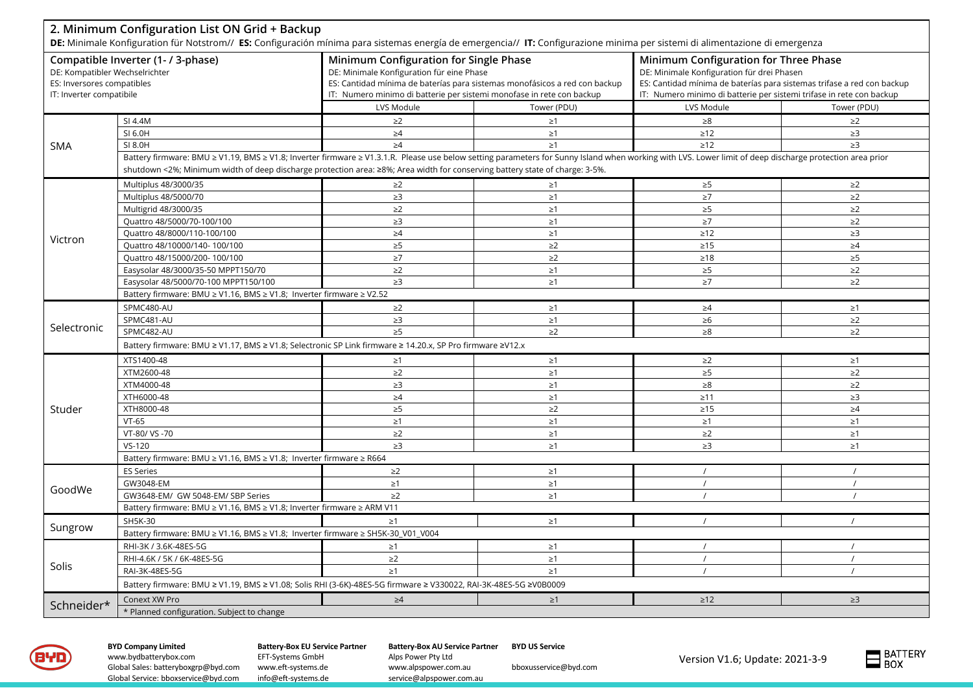| Minimum Configuration for Single Phase<br>Minimum Configuration for Three Phase<br>Compatible Inverter (1- / 3-phase)<br>DE: Kompatibler Wechselrichter<br>DE: Minimale Konfiguration für eine Phase<br>DE: Minimale Konfiguration für drei Phasen<br>ES: Inversores compatibles<br>ES: Cantidad mínima de baterías para sistemas monofásicos a red con backup<br>ES: Cantidad mínima de baterías para sistemas trifase a red con backup | Tower (PDU)                                                                                                                                                                                              |  |  |  |  |  |  |
|------------------------------------------------------------------------------------------------------------------------------------------------------------------------------------------------------------------------------------------------------------------------------------------------------------------------------------------------------------------------------------------------------------------------------------------|----------------------------------------------------------------------------------------------------------------------------------------------------------------------------------------------------------|--|--|--|--|--|--|
| IT: Numero minimo di batterie per sistemi monofase in rete con backup<br>IT: Numero minimo di batterie per sistemi trifase in rete con backup<br>IT: Inverter compatibile                                                                                                                                                                                                                                                                |                                                                                                                                                                                                          |  |  |  |  |  |  |
| LVS Module<br>LVS Module<br>Tower (PDU)                                                                                                                                                                                                                                                                                                                                                                                                  |                                                                                                                                                                                                          |  |  |  |  |  |  |
| SI 4.4M<br>$\geq$ 2<br>$\geq$ 1<br>$\geq 8$                                                                                                                                                                                                                                                                                                                                                                                              | $\geq$ 2                                                                                                                                                                                                 |  |  |  |  |  |  |
| SI 6.0H<br>$\geq$ 1<br>$\geq 12$<br>$\geq 4$                                                                                                                                                                                                                                                                                                                                                                                             | $\geq$ 3                                                                                                                                                                                                 |  |  |  |  |  |  |
| SI 8.0H<br>$\geq 4$<br>$\geq$ 1<br>$\geq 12$<br>SMA                                                                                                                                                                                                                                                                                                                                                                                      | $\geq$ 3                                                                                                                                                                                                 |  |  |  |  |  |  |
| shutdown <2%; Minimum width of deep discharge protection area: ≥8%; Area width for conserving battery state of charge: 3-5%.                                                                                                                                                                                                                                                                                                             | Battery firmware: BMU ≥ V1.19, BMS ≥ V1.8; Inverter firmware ≥ V1.3.1.R. Please use below setting parameters for Sunny Island when working with LVS. Lower limit of deep discharge protection area prior |  |  |  |  |  |  |
| Multiplus 48/3000/35<br>$\geq$ 2<br>$\geq 5$<br>$\geq$ 1                                                                                                                                                                                                                                                                                                                                                                                 | $\geq$ 2                                                                                                                                                                                                 |  |  |  |  |  |  |
| $\geq 7$<br>Multiplus 48/5000/70<br>$\geq$ 3<br>$\geq$ 1                                                                                                                                                                                                                                                                                                                                                                                 | $\geq$ 2                                                                                                                                                                                                 |  |  |  |  |  |  |
| $\geq$ 2<br>$\geq 5$<br>Multigrid 48/3000/35<br>$\geq$ 1                                                                                                                                                                                                                                                                                                                                                                                 | $\geq$ 2                                                                                                                                                                                                 |  |  |  |  |  |  |
| Quattro 48/5000/70-100/100<br>$\geq 7$<br>$\geq$ 3<br>$\geq$ 1                                                                                                                                                                                                                                                                                                                                                                           | $\geq$ 2                                                                                                                                                                                                 |  |  |  |  |  |  |
| Quattro 48/8000/110-100/100<br>$\geq 4$<br>$\geq$ 1<br>$\geq 12$<br>Victron                                                                                                                                                                                                                                                                                                                                                              | $\geq$ 3                                                                                                                                                                                                 |  |  |  |  |  |  |
| Quattro 48/10000/140-100/100<br>$\geq 5$<br>$\geq$ 2<br>$\geq 15$                                                                                                                                                                                                                                                                                                                                                                        | $\geq 4$                                                                                                                                                                                                 |  |  |  |  |  |  |
| $\geq 7$<br>$\geq$ 2<br>Quattro 48/15000/200-100/100<br>$\geq 18$                                                                                                                                                                                                                                                                                                                                                                        | $\geq 5$                                                                                                                                                                                                 |  |  |  |  |  |  |
| Easysolar 48/3000/35-50 MPPT150/70<br>$\geq$ 2<br>$\geq 5$<br>$\geq$ 1                                                                                                                                                                                                                                                                                                                                                                   | $\geq$ 2                                                                                                                                                                                                 |  |  |  |  |  |  |
| $\geq$ 3<br>Easysolar 48/5000/70-100 MPPT150/100<br>$\geq$ 1<br>$\geq 7$                                                                                                                                                                                                                                                                                                                                                                 | $\geq$ 2                                                                                                                                                                                                 |  |  |  |  |  |  |
| Battery firmware: BMU ≥ V1.16, BMS ≥ V1.8; Inverter firmware ≥ V2.52                                                                                                                                                                                                                                                                                                                                                                     |                                                                                                                                                                                                          |  |  |  |  |  |  |
| SPMC480-AU<br>$\geq$ 2<br>$\geq$ 1<br>$\geq 4$                                                                                                                                                                                                                                                                                                                                                                                           | $\geq$ 1                                                                                                                                                                                                 |  |  |  |  |  |  |
| SPMC481-AU<br>$\geq$ 3<br>$\geq$ 1<br>$\geq 6$                                                                                                                                                                                                                                                                                                                                                                                           | $\geq$ 2                                                                                                                                                                                                 |  |  |  |  |  |  |
| Selectronic<br>$\geq 5$<br>SPMC482-AU<br>$\geq$ 2<br>$\geq 8$                                                                                                                                                                                                                                                                                                                                                                            | $\geq$ 2                                                                                                                                                                                                 |  |  |  |  |  |  |
| Battery firmware: BMU ≥ V1.17, BMS ≥ V1.8; Selectronic SP Link firmware ≥ 14.20.x, SP Pro firmware ≥V12.x                                                                                                                                                                                                                                                                                                                                |                                                                                                                                                                                                          |  |  |  |  |  |  |
| XTS1400-48<br>$\geq$ 2<br>$\geq 1$<br>$\geq$ 1                                                                                                                                                                                                                                                                                                                                                                                           | $\geq$ 1                                                                                                                                                                                                 |  |  |  |  |  |  |
| XTM2600-48<br>$\geq$ 2<br>$\geq$ 1<br>$\geq 5$                                                                                                                                                                                                                                                                                                                                                                                           | $\geq$ 2                                                                                                                                                                                                 |  |  |  |  |  |  |
| $\geq 3$<br>$\geq$ 1<br>$\geq 8$<br>XTM4000-48                                                                                                                                                                                                                                                                                                                                                                                           | $\geq$ 2                                                                                                                                                                                                 |  |  |  |  |  |  |
| XTH6000-48<br>$\geq 4$<br>$\geq$ 1<br>$\geq 11$                                                                                                                                                                                                                                                                                                                                                                                          | $\geq$ 3                                                                                                                                                                                                 |  |  |  |  |  |  |
| $\geq 5$<br>XTH8000-48<br>$\geq$ 2<br>$\geq 15$<br>Studer                                                                                                                                                                                                                                                                                                                                                                                | $\geq 4$                                                                                                                                                                                                 |  |  |  |  |  |  |
| $VT-65$<br>$\geq$ 1<br>$\geq$ 1<br>$\geq$ 1                                                                                                                                                                                                                                                                                                                                                                                              | $\geq$ 1                                                                                                                                                                                                 |  |  |  |  |  |  |
| VT-80/VS-70<br>$\geq$ 2<br>$\geq$ 2<br>$\geq$ 1                                                                                                                                                                                                                                                                                                                                                                                          | $\geq$ 1                                                                                                                                                                                                 |  |  |  |  |  |  |
| $VS-120$<br>$\geq$ 3<br>$\geq$ 1<br>$\geq$ 3                                                                                                                                                                                                                                                                                                                                                                                             | $\geq$ 1                                                                                                                                                                                                 |  |  |  |  |  |  |
| Battery firmware: BMU ≥ V1.16, BMS ≥ V1.8; Inverter firmware ≥ R664                                                                                                                                                                                                                                                                                                                                                                      |                                                                                                                                                                                                          |  |  |  |  |  |  |
| <b>ES Series</b><br>$\geq$ 2<br>$\geq$ 1                                                                                                                                                                                                                                                                                                                                                                                                 |                                                                                                                                                                                                          |  |  |  |  |  |  |
| GW3048-EM<br>$\geq$ 1<br>$\geq$ 1                                                                                                                                                                                                                                                                                                                                                                                                        |                                                                                                                                                                                                          |  |  |  |  |  |  |
| GoodWe<br>$\geq$ 2<br>GW3648-EM/ GW 5048-EM/ SBP Series<br>$\geq 1$                                                                                                                                                                                                                                                                                                                                                                      |                                                                                                                                                                                                          |  |  |  |  |  |  |
| Battery firmware: BMU ≥ V1.16, BMS ≥ V1.8; Inverter firmware ≥ ARM V11                                                                                                                                                                                                                                                                                                                                                                   |                                                                                                                                                                                                          |  |  |  |  |  |  |
| SH5K-30<br>$\geq$ 1<br>$\geq$ 1                                                                                                                                                                                                                                                                                                                                                                                                          | $\prime$                                                                                                                                                                                                 |  |  |  |  |  |  |
| Sungrow<br>Battery firmware: BMU ≥ V1.16, BMS ≥ V1.8; Inverter firmware ≥ SH5K-30_V01_V004                                                                                                                                                                                                                                                                                                                                               |                                                                                                                                                                                                          |  |  |  |  |  |  |
| RHI-3K / 3.6K-48ES-5G<br>$\geq$ 1<br>$\geq$ 1                                                                                                                                                                                                                                                                                                                                                                                            |                                                                                                                                                                                                          |  |  |  |  |  |  |
| RHI-4.6K / 5K / 6K-48ES-5G<br>$\geq$ 2<br>$\geq$ 1                                                                                                                                                                                                                                                                                                                                                                                       |                                                                                                                                                                                                          |  |  |  |  |  |  |
| Solis<br>$\geq$ 1<br>$\geq 1$<br>RAI-3K-48ES-5G                                                                                                                                                                                                                                                                                                                                                                                          |                                                                                                                                                                                                          |  |  |  |  |  |  |
| Battery firmware: BMU ≥ V1.19, BMS ≥ V1.08; Solis RHI (3-6K)-48ES-5G firmware ≥ V330022, RAI-3K-48ES-5G ≥V0B0009                                                                                                                                                                                                                                                                                                                         |                                                                                                                                                                                                          |  |  |  |  |  |  |
| Conext XW Pro<br>$\geq 4$<br>$\geq 12$<br>$\geq$ 1                                                                                                                                                                                                                                                                                                                                                                                       | $\geq$ 3                                                                                                                                                                                                 |  |  |  |  |  |  |
| Schneider*<br>* Planned configuration. Subject to change                                                                                                                                                                                                                                                                                                                                                                                 |                                                                                                                                                                                                          |  |  |  |  |  |  |



**BYD Company Limited Battery-Box EU Service Partner Battery-Box AU Service Partner BYD US Service** [www.bydbatterybox.com](http://www.bydbatterybox.com/) EFT-Systems GmbH Alps Power Pty Ltd<br>Global Sales: batteryboxgrp@byd.com www.eft-systems.de www.alpspower.com.au Global Sales: [batteryboxgrp@byd.com](mailto:batteryboxgrp@byd.com) [www.eft-systems.de](http://www.eft-systems.de/) [www.alpspower.com.au](http://www.alpspower.com.au/) bboxusservice@byd.com<br>Global Service: bboxservice@byd.com info@eft-systems.de service@alpspower.com.au Global Service: [bboxservice@byd.com](mailto:bboxservice@byd.com)

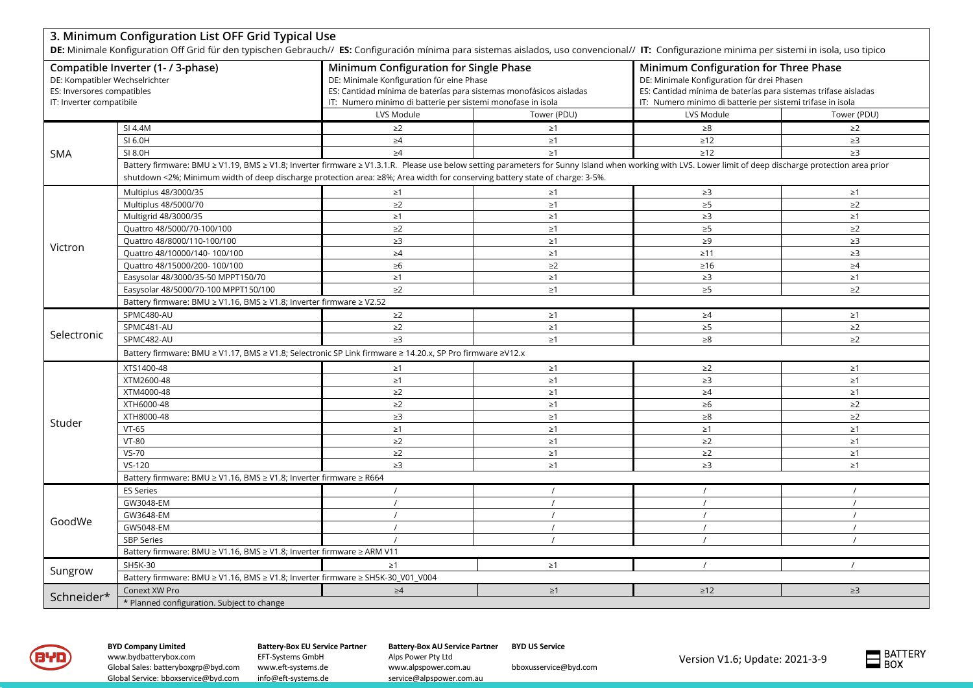| 3. Minimum Configuration List OFF Grid Typical Use<br>DE: Minimale Konfiguration Off Grid für den typischen Gebrauch// ES: Configuración mínima para sistemas aislados, uso convencional// IT: Configurazione minima per sistemi in isola, uso tipico |                                                                                                                                                                                                                                                                                                                                          |                                                                                                                                                                                                                          |             |                                                                                                                                                                                                                     |             |  |  |  |
|-------------------------------------------------------------------------------------------------------------------------------------------------------------------------------------------------------------------------------------------------------|------------------------------------------------------------------------------------------------------------------------------------------------------------------------------------------------------------------------------------------------------------------------------------------------------------------------------------------|--------------------------------------------------------------------------------------------------------------------------------------------------------------------------------------------------------------------------|-------------|---------------------------------------------------------------------------------------------------------------------------------------------------------------------------------------------------------------------|-------------|--|--|--|
| Compatible Inverter (1- / 3-phase)<br>DE: Kompatibler Wechselrichter<br>ES: Inversores compatibles<br>IT: Inverter compatibile                                                                                                                        |                                                                                                                                                                                                                                                                                                                                          | Minimum Configuration for Single Phase<br>DE: Minimale Konfiguration für eine Phase<br>ES: Cantidad mínima de baterías para sistemas monofásicos aisladas<br>IT: Numero minimo di batterie per sistemi monofase in isola |             | Minimum Configuration for Three Phase<br>DE: Minimale Konfiguration für drei Phasen<br>ES: Cantidad mínima de baterías para sistemas trifase aisladas<br>IT: Numero minimo di batterie per sistemi trifase in isola |             |  |  |  |
|                                                                                                                                                                                                                                                       |                                                                                                                                                                                                                                                                                                                                          | LVS Module                                                                                                                                                                                                               | Tower (PDU) | LVS Module                                                                                                                                                                                                          | Tower (PDU) |  |  |  |
| SMA                                                                                                                                                                                                                                                   | SI 4.4M                                                                                                                                                                                                                                                                                                                                  | $\geq$ 2                                                                                                                                                                                                                 | $\geq$ 1    | $\geq 8$                                                                                                                                                                                                            | $\geq$ 2    |  |  |  |
|                                                                                                                                                                                                                                                       | SI 6.0H                                                                                                                                                                                                                                                                                                                                  | $\geq 4$                                                                                                                                                                                                                 | $\geq$ 1    | $\geq 12$                                                                                                                                                                                                           | $\geq$ 3    |  |  |  |
|                                                                                                                                                                                                                                                       | SI 8.0H                                                                                                                                                                                                                                                                                                                                  | $\geq 4$                                                                                                                                                                                                                 | $\geq$ 1    | $\geq 12$                                                                                                                                                                                                           | $\geq$ 3    |  |  |  |
|                                                                                                                                                                                                                                                       | Battery firmware: BMU ≥ V1.19, BMS ≥ V1.8; Inverter firmware ≥ V1.3.1.R. Please use below setting parameters for Sunny Island when working with LVS. Lower limit of deep discharge protection area prior<br>shutdown <2%; Minimum width of deep discharge protection area: ≥8%; Area width for conserving battery state of charge: 3-5%. |                                                                                                                                                                                                                          |             |                                                                                                                                                                                                                     |             |  |  |  |
|                                                                                                                                                                                                                                                       | Multiplus 48/3000/35                                                                                                                                                                                                                                                                                                                     | $\geq$ 1                                                                                                                                                                                                                 | $\geq$ 1    | $\geq$ 3                                                                                                                                                                                                            | $\geq$ 1    |  |  |  |
|                                                                                                                                                                                                                                                       | Multiplus 48/5000/70                                                                                                                                                                                                                                                                                                                     | $\geq$ 2                                                                                                                                                                                                                 | $\geq$ 1    | $\geq 5$                                                                                                                                                                                                            | $\geq$ 2    |  |  |  |
|                                                                                                                                                                                                                                                       | Multigrid 48/3000/35                                                                                                                                                                                                                                                                                                                     | $\geq$ 1                                                                                                                                                                                                                 | $\geq$ 1    | $\geq$ 3                                                                                                                                                                                                            | $\geq$ 1    |  |  |  |
|                                                                                                                                                                                                                                                       | Quattro 48/5000/70-100/100                                                                                                                                                                                                                                                                                                               | $\geq$ 2                                                                                                                                                                                                                 | $\geq$ 1    | $\geq 5$                                                                                                                                                                                                            | $\geq$ 2    |  |  |  |
| Victron                                                                                                                                                                                                                                               | Quattro 48/8000/110-100/100                                                                                                                                                                                                                                                                                                              | $\geq$ 3                                                                                                                                                                                                                 | $\geq$ 1    | $\geq 9$                                                                                                                                                                                                            | $\geq$ 3    |  |  |  |
|                                                                                                                                                                                                                                                       | Quattro 48/10000/140- 100/100                                                                                                                                                                                                                                                                                                            | $\geq 4$                                                                                                                                                                                                                 | $\geq$ 1    | $\geq 11$                                                                                                                                                                                                           | $\geq$ 3    |  |  |  |
|                                                                                                                                                                                                                                                       | Quattro 48/15000/200-100/100                                                                                                                                                                                                                                                                                                             | $\geq 6$                                                                                                                                                                                                                 | $\geq$ 2    | $\geq 16$                                                                                                                                                                                                           | $\geq 4$    |  |  |  |
|                                                                                                                                                                                                                                                       | Easysolar 48/3000/35-50 MPPT150/70                                                                                                                                                                                                                                                                                                       | $\geq$ 1                                                                                                                                                                                                                 | $\geq$ 1    | $\geq$ 3                                                                                                                                                                                                            | $\geq$ 1    |  |  |  |
|                                                                                                                                                                                                                                                       | Easysolar 48/5000/70-100 MPPT150/100                                                                                                                                                                                                                                                                                                     | $\geq$ 2                                                                                                                                                                                                                 | $\geq$ 1    | $\geq 5$                                                                                                                                                                                                            | $\geq$ 2    |  |  |  |
|                                                                                                                                                                                                                                                       |                                                                                                                                                                                                                                                                                                                                          | Battery firmware: BMU ≥ V1.16, BMS ≥ V1.8; Inverter firmware ≥ V2.52                                                                                                                                                     |             |                                                                                                                                                                                                                     |             |  |  |  |
| Selectronic                                                                                                                                                                                                                                           | SPMC480-AU                                                                                                                                                                                                                                                                                                                               | $\geq$ 2                                                                                                                                                                                                                 | $\geq$ 1    | $\geq 4$                                                                                                                                                                                                            | $\geq$ 1    |  |  |  |
|                                                                                                                                                                                                                                                       | SPMC481-AU                                                                                                                                                                                                                                                                                                                               | $\geq$ 2                                                                                                                                                                                                                 | $\geq$ 1    | $\geq 5$                                                                                                                                                                                                            | $\geq$ 2    |  |  |  |
|                                                                                                                                                                                                                                                       | SPMC482-AU                                                                                                                                                                                                                                                                                                                               | $\geq$ 3                                                                                                                                                                                                                 | $\geq$ 1    | $\geq 8$                                                                                                                                                                                                            | $\geq$ 2    |  |  |  |
|                                                                                                                                                                                                                                                       | Battery firmware: BMU ≥ V1.17, BMS ≥ V1.8; Selectronic SP Link firmware ≥ 14.20.x, SP Pro firmware ≥V12.x                                                                                                                                                                                                                                |                                                                                                                                                                                                                          |             |                                                                                                                                                                                                                     |             |  |  |  |
| Studer                                                                                                                                                                                                                                                | XTS1400-48                                                                                                                                                                                                                                                                                                                               | $\geq$ 1                                                                                                                                                                                                                 | $\geq$ 1    | $\geq$ 2                                                                                                                                                                                                            | ≥1          |  |  |  |
|                                                                                                                                                                                                                                                       | XTM2600-48                                                                                                                                                                                                                                                                                                                               | $\geq 1$                                                                                                                                                                                                                 | $\geq$ 1    | $\geq$ 3                                                                                                                                                                                                            | $\geq$ 1    |  |  |  |
|                                                                                                                                                                                                                                                       | XTM4000-48                                                                                                                                                                                                                                                                                                                               | $\geq$ 2                                                                                                                                                                                                                 | $\geq 1$    | $\geq 4$                                                                                                                                                                                                            | $\geq$ 1    |  |  |  |
|                                                                                                                                                                                                                                                       | XTH6000-48                                                                                                                                                                                                                                                                                                                               | $\geq$ 2                                                                                                                                                                                                                 | $\geq$ 1    | $\geq 6$                                                                                                                                                                                                            | $\geq$ 2    |  |  |  |
|                                                                                                                                                                                                                                                       | XTH8000-48                                                                                                                                                                                                                                                                                                                               | $\geq$ 3                                                                                                                                                                                                                 | $\geq$ 1    | $\geq 8$                                                                                                                                                                                                            | $\geq$ 2    |  |  |  |
|                                                                                                                                                                                                                                                       | $VT-65$                                                                                                                                                                                                                                                                                                                                  | $\geq 1$                                                                                                                                                                                                                 | $\geq$ 1    | $\geq$ 1                                                                                                                                                                                                            | $\geq$ 1    |  |  |  |
|                                                                                                                                                                                                                                                       | <b>VT-80</b>                                                                                                                                                                                                                                                                                                                             | $\geq$ 2                                                                                                                                                                                                                 | $\geq$ 1    | $\geq$ 2                                                                                                                                                                                                            | $\geq$ 1    |  |  |  |
|                                                                                                                                                                                                                                                       | $VS-70$                                                                                                                                                                                                                                                                                                                                  | $\geq$ 2                                                                                                                                                                                                                 | $\geq$ 1    | $\geq$ 2                                                                                                                                                                                                            | $\geq$ 1    |  |  |  |
|                                                                                                                                                                                                                                                       | $VS-120$                                                                                                                                                                                                                                                                                                                                 | $\geq$ 3                                                                                                                                                                                                                 | $\geq$ 1    | $\geq$ 3                                                                                                                                                                                                            | $\geq$ 1    |  |  |  |
|                                                                                                                                                                                                                                                       | Battery firmware: BMU ≥ V1.16, BMS ≥ V1.8; Inverter firmware ≥ R664                                                                                                                                                                                                                                                                      |                                                                                                                                                                                                                          |             |                                                                                                                                                                                                                     |             |  |  |  |
|                                                                                                                                                                                                                                                       | <b>ES Series</b>                                                                                                                                                                                                                                                                                                                         | $\prime$                                                                                                                                                                                                                 | $\prime$    | $\prime$                                                                                                                                                                                                            | $\prime$    |  |  |  |
|                                                                                                                                                                                                                                                       | GW3048-EM                                                                                                                                                                                                                                                                                                                                |                                                                                                                                                                                                                          |             |                                                                                                                                                                                                                     |             |  |  |  |
| GoodWe                                                                                                                                                                                                                                                | GW3648-EM                                                                                                                                                                                                                                                                                                                                |                                                                                                                                                                                                                          |             |                                                                                                                                                                                                                     | $\prime$    |  |  |  |
|                                                                                                                                                                                                                                                       | GW5048-EM                                                                                                                                                                                                                                                                                                                                |                                                                                                                                                                                                                          |             |                                                                                                                                                                                                                     | $\prime$    |  |  |  |
|                                                                                                                                                                                                                                                       | <b>SBP Series</b>                                                                                                                                                                                                                                                                                                                        |                                                                                                                                                                                                                          |             |                                                                                                                                                                                                                     |             |  |  |  |
|                                                                                                                                                                                                                                                       | Battery firmware: BMU ≥ V1.16, BMS ≥ V1.8; Inverter firmware ≥ ARM V11                                                                                                                                                                                                                                                                   |                                                                                                                                                                                                                          |             |                                                                                                                                                                                                                     |             |  |  |  |
|                                                                                                                                                                                                                                                       | SH5K-30                                                                                                                                                                                                                                                                                                                                  | $\geq$ 1                                                                                                                                                                                                                 | $\geq$ 1    |                                                                                                                                                                                                                     |             |  |  |  |
| Sungrow                                                                                                                                                                                                                                               | Battery firmware: BMU ≥ V1.16, BMS ≥ V1.8; Inverter firmware ≥ SH5K-30_V01_V004                                                                                                                                                                                                                                                          |                                                                                                                                                                                                                          |             |                                                                                                                                                                                                                     |             |  |  |  |
|                                                                                                                                                                                                                                                       | Conext XW Pro                                                                                                                                                                                                                                                                                                                            | $\geq 4$                                                                                                                                                                                                                 | $\geq$ 1    | $\geq$ 12                                                                                                                                                                                                           | $\geq$ 3    |  |  |  |
| Schneider*                                                                                                                                                                                                                                            | * Planned configuration. Subject to change                                                                                                                                                                                                                                                                                               |                                                                                                                                                                                                                          |             |                                                                                                                                                                                                                     |             |  |  |  |



**BYD Company Limited Battery-Box EU Service Partner Battery-Box AU Service Partner BYD US Service** [www.bydbatterybox.com](http://www.bydbatterybox.com/) EFT-Systems GmbH Alps Power Pty Ltd<br>Global Sales: batteryboxgrp@byd.com www.eft-systems.de www.alpspower.com.au Global Sales: [batteryboxgrp@byd.com](mailto:batteryboxgrp@byd.com) [www.eft-systems.de](http://www.eft-systems.de/) [www.alpspower.com.au](http://www.alpspower.com.au/) bboxusservice@byd.com<br>Global Service: bboxservice@byd.com info@eft-systems.de service@alpspower.com.au Global Service: [bboxservice@byd.com](mailto:bboxservice@byd.com)

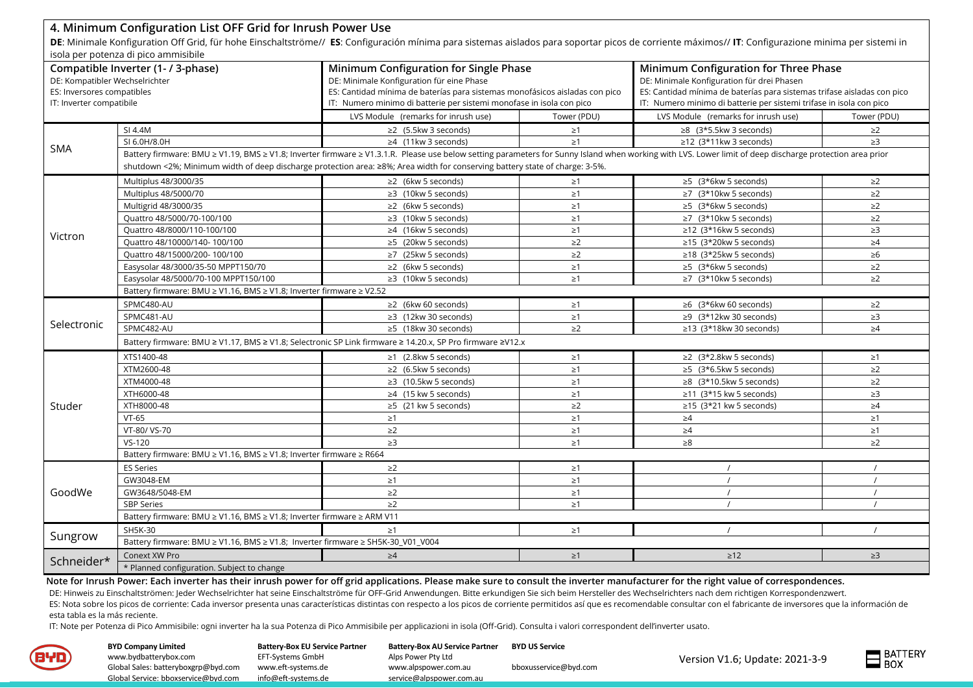|                                | 4. Minimum Configuration List OFF Grid for Inrush Power Use                                                                                                                                              |                                                                             |          |                                                                         |             |  |  |
|--------------------------------|----------------------------------------------------------------------------------------------------------------------------------------------------------------------------------------------------------|-----------------------------------------------------------------------------|----------|-------------------------------------------------------------------------|-------------|--|--|
|                                | DE: Minimale Konfiguration Off Grid, für hohe Einschaltströme// ES: Configuración mínima para sistemas aislados para soportar picos de corriente máximos// IT: Configurazione minima per sistemi in      |                                                                             |          |                                                                         |             |  |  |
|                                | isola per potenza di pico ammisibile                                                                                                                                                                     |                                                                             |          |                                                                         |             |  |  |
|                                | Minimum Configuration for Single Phase<br>Minimum Configuration for Three Phase<br>Compatible Inverter (1- / 3-phase)                                                                                    |                                                                             |          |                                                                         |             |  |  |
| DE: Kompatibler Wechselrichter |                                                                                                                                                                                                          | DE: Minimale Konfiguration für eine Phase                                   |          | DE: Minimale Konfiguration für drei Phasen                              |             |  |  |
| ES: Inversores compatibles     |                                                                                                                                                                                                          | ES: Cantidad mínima de baterías para sistemas monofásicos aisladas con pico |          | ES: Cantidad mínima de baterías para sistemas trifase aisladas con pico |             |  |  |
| IT: Inverter compatibile       |                                                                                                                                                                                                          | IT: Numero minimo di batterie per sistemi monofase in isola con pico        |          | IT: Numero minimo di batterie per sistemi trifase in isola con pico     |             |  |  |
|                                |                                                                                                                                                                                                          | LVS Module (remarks for inrush use)<br>Tower (PDU)                          |          | LVS Module (remarks for inrush use)                                     | Tower (PDU) |  |  |
| <b>SMA</b>                     | SI 4.4M                                                                                                                                                                                                  | $\geq$ 2 (5.5kw 3 seconds)                                                  | $\geq 1$ | $\geq$ 8 (3*5.5kw 3 seconds)                                            | $\geq$ 2    |  |  |
|                                | SI 6.0H/8.0H                                                                                                                                                                                             | $\geq 4$ (11kw 3 seconds)                                                   | $\geq1$  | $\ge$ 12 (3*11kw 3 seconds)                                             | $\geq$ 3    |  |  |
|                                | Battery firmware: BMU ≥ V1.19, BMS ≥ V1.8; Inverter firmware ≥ V1.3.1.R. Please use below setting parameters for Sunny Island when working with LVS. Lower limit of deep discharge protection area prior |                                                                             |          |                                                                         |             |  |  |
|                                | shutdown <2%; Minimum width of deep discharge protection area: ≥8%; Area width for conserving battery state of charge: 3-5%.                                                                             |                                                                             |          |                                                                         |             |  |  |
|                                | Multiplus 48/3000/35                                                                                                                                                                                     | $\geq$ (6kw 5 seconds)                                                      | $\geq$ 1 | $\geq$ 5 (3*6kw 5 seconds)                                              | $\geq$ 2    |  |  |
|                                | Multiplus 48/5000/70                                                                                                                                                                                     | $\geq$ 3 (10kw 5 seconds)                                                   | $\geq 1$ | $\geq 7$ (3*10kw 5 seconds)                                             | $\geq$ 2    |  |  |
|                                | Multigrid 48/3000/35                                                                                                                                                                                     | $\geq$ (6kw 5 seconds)                                                      | $\geq$ 1 | $\ge 5$ (3*6kw 5 seconds)                                               | $\geq$ 2    |  |  |
|                                | Quattro 48/5000/70-100/100                                                                                                                                                                               | $\geq$ 3 (10kw 5 seconds)                                                   | $\geq$ 1 | $\geq$ 7 (3*10kw 5 seconds)                                             | $\geq$ 2    |  |  |
| Victron                        | Ouattro 48/8000/110-100/100                                                                                                                                                                              | $\geq 4$ (16kw 5 seconds)                                                   | $\geq$ 1 | $\ge$ 12 (3*16kw 5 seconds)                                             | $\geq$ 3    |  |  |
|                                | Quattro 48/10000/140-100/100                                                                                                                                                                             | $\geq$ 5 (20kw 5 seconds)                                                   | $\geq$ 2 | $\geq$ 15 (3*20kw 5 seconds)                                            | $\geq 4$    |  |  |
|                                | Quattro 48/15000/200-100/100                                                                                                                                                                             | $\geq$ 7 (25kw 5 seconds)                                                   | $\geq$ 2 | $\geq$ 18 (3*25kw 5 seconds)                                            | $\geq 6$    |  |  |
|                                | Easysolar 48/3000/35-50 MPPT150/70                                                                                                                                                                       | $\geq$ (6kw 5 seconds)                                                      | $\geq 1$ | $\geq$ 5 (3*6kw 5 seconds)                                              | $\geq$ 2    |  |  |
|                                | Easysolar 48/5000/70-100 MPPT150/100                                                                                                                                                                     | $\geq$ 3 (10kw 5 seconds)                                                   | $\geq$ 1 | $\geq 7$ (3*10kw 5 seconds)                                             | $\geq$ 2    |  |  |
|                                | Battery firmware: BMU ≥ V1.16, BMS ≥ V1.8; Inverter firmware ≥ V2.52                                                                                                                                     |                                                                             |          |                                                                         |             |  |  |
| Selectronic                    | SPMC480-AU                                                                                                                                                                                               | $\geq$ (6kw 60 seconds)                                                     | $\geq$ 1 | ≥6 (3*6kw 60 seconds)                                                   | $\geq$ 2    |  |  |
|                                | SPMC481-AU                                                                                                                                                                                               | $\geq$ 3 (12kw 30 seconds)                                                  | $\geq 1$ | ≥9 (3*12kw 30 seconds)                                                  | $\geq$ 3    |  |  |
|                                | SPMC482-AU                                                                                                                                                                                               | ≥5 (18kw 30 seconds)                                                        | $\geq$ 2 | $\geq$ 13 (3*18kw 30 seconds)                                           | $\geq 4$    |  |  |
|                                | Battery firmware: BMU ≥ V1.17, BMS ≥ V1.8; Selectronic SP Link firmware ≥ 14.20.x, SP Pro firmware ≥V12.x                                                                                                |                                                                             |          |                                                                         |             |  |  |
|                                | XTS1400-48                                                                                                                                                                                               | $≥1$ (2.8kw 5 seconds)                                                      | $\geq$ 1 | $\geq$ (3*2.8kw 5 seconds)                                              | $\geq$ 1    |  |  |
|                                | XTM2600-48                                                                                                                                                                                               | $\geq$ (6.5kw 5 seconds)                                                    | $\geq1$  | $≥5$ (3*6.5kw 5 seconds)                                                | $\geq$ 2    |  |  |
|                                | XTM4000-48                                                                                                                                                                                               | $\geq$ 3 (10.5kw 5 seconds)                                                 | $\geq$ 1 | ≥8 $(3*10.5$ kw 5 seconds)                                              | $\geq$ 2    |  |  |
|                                | XTH6000-48                                                                                                                                                                                               | $\geq 4$ (15 kw 5 seconds)                                                  | $\geq 1$ | $\ge$ 11 (3*15 kw 5 seconds)                                            | $\geq$ 3    |  |  |
| Studer                         | XTH8000-48                                                                                                                                                                                               | $\geq$ 5 (21 kw 5 seconds)                                                  | $\geq$ 2 | $\geq$ 15 (3*21 kw 5 seconds)                                           | $\geq 4$    |  |  |
|                                | $VT-65$                                                                                                                                                                                                  | $\geq$ 1                                                                    | $\geq$ 1 | $\geq 4$                                                                | $\geq 1$    |  |  |
|                                | VT-80/VS-70                                                                                                                                                                                              | $\geq$ 2                                                                    | $\geq 1$ | $\geq 4$                                                                | $\geq$ 1    |  |  |
|                                | $VS-120$                                                                                                                                                                                                 | $\geq$ 3                                                                    | $\geq 1$ | $\geq 8$                                                                | $\geq$ 2    |  |  |
|                                | Battery firmware: BMU ≥ V1.16, BMS ≥ V1.8; Inverter firmware ≥ R664                                                                                                                                      |                                                                             |          |                                                                         |             |  |  |
|                                | <b>ES Series</b>                                                                                                                                                                                         | $\geq$ 2                                                                    | $\geq 1$ |                                                                         | $\prime$    |  |  |
|                                | GW3048-EM                                                                                                                                                                                                | $\geq$ 1                                                                    | $\geq$ 1 |                                                                         | $\prime$    |  |  |
| GoodWe                         | GW3648/5048-EM                                                                                                                                                                                           | $\geq$ 2                                                                    | $\geq 1$ |                                                                         |             |  |  |
|                                | <b>SBP Series</b>                                                                                                                                                                                        | $\geq$ 2                                                                    | $\geq 1$ |                                                                         |             |  |  |
|                                | Battery firmware: BMU ≥ V1.16, BMS ≥ V1.8; Inverter firmware ≥ ARM V11                                                                                                                                   |                                                                             |          |                                                                         |             |  |  |
| Sungrow                        | SH5K-30                                                                                                                                                                                                  | $\geq$ 1                                                                    | $\geq$ 1 |                                                                         | $\prime$    |  |  |
|                                | Battery firmware: BMU ≥ V1.16, BMS ≥ V1.8; Inverter firmware ≥ SH5K-30_V01_V004                                                                                                                          |                                                                             |          |                                                                         |             |  |  |
| Schneider*                     | Conext XW Pro                                                                                                                                                                                            | $\geq 4$                                                                    | $\geq$ 1 | $\geq 12$                                                               | $\geq$ 3    |  |  |
|                                | * Planned configuration. Subject to change                                                                                                                                                               |                                                                             |          |                                                                         |             |  |  |

**Note for Inrush Power: Each inverter has their inrush power for off grid applications. Please make sure to consult the inverter manufacturer for the right value of correspondences.**

DE: Hinweis zu Einschaltströmen: Jeder Wechselrichter hat seine Einschaltströme für OFF-Grid Anwendungen. Bitte erkundigen Sie sich beim Hersteller des Wechselrichters nach dem richtigen Korrespondenzwert.

ES: Nota sobre los picos de corriente: Cada inversor presenta unas características distintas con respecto a los picos de corriente permitidos así que es recomendable consultar con el fabricante de inversores que la informa esta tabla es la más reciente.

IT: Note per Potenza di Pico Ammisibile: ogni inverter ha la sua Potenza di Pico Ammisibile per applicazioni in isola (Off-Grid). Consulta i valori correspondent dell'inverter usato.



**BYD Company Limited Battery-Box EU Service Partner Battery-Box AU Service Partner BYD US Service** [www.bydbatterybox.com](http://www.bydbatterybox.com/) EFT-Systems GmbH Alps Power Pty Ltd Global Sales: [batteryboxgrp@byd.com](mailto:batteryboxgrp@byd.com) [www.eft-systems.de](http://www.eft-systems.de/) [www.alpspower.com.au](http://www.alpspower.com.au/) bboxusservice@byd.com Global Service: [bboxservice@byd.com](mailto:bboxservice@byd.com) [info@eft-systems.de](mailto:info@eft-systems.de) [service@alpspower.com.au](mailto:service@alpspower.com.au)